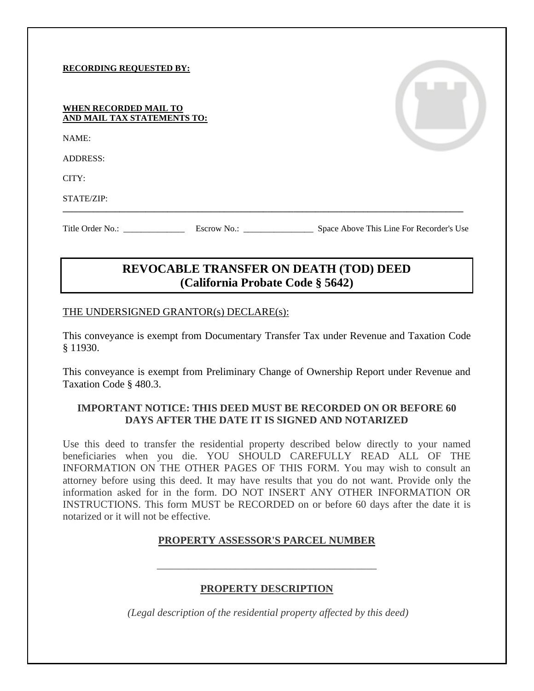#### **RECORDING REQUESTED BY:**

| WHEN RECORDED MAIL TO       |  |  |  |
|-----------------------------|--|--|--|
| AND MAIL TAX STATEMENTS TO: |  |  |  |

NAME:

ADDRESS:

CITY:

STATE/ZIP:

Title Order No.: \_\_\_\_\_\_\_\_\_\_\_\_\_\_\_\_\_\_\_\_\_\_ Escrow No.: \_\_\_\_\_\_\_\_\_\_\_\_\_\_\_\_\_\_\_\_\_\_\_\_\_\_\_\_ Space Above This Line For Recorder's Use

# **REVOCABLE TRANSFER ON DEATH (TOD) DEED (California Probate Code § 5642)**

**\_\_\_\_\_\_\_\_\_\_\_\_\_\_\_\_\_\_\_\_\_\_\_\_\_\_\_\_\_\_\_\_\_\_\_\_\_\_\_\_\_\_\_\_\_\_\_\_\_\_\_\_\_\_\_\_\_\_\_\_\_\_\_\_\_\_\_\_\_\_\_\_\_\_\_\_\_\_\_\_\_\_\_\_\_\_\_\_\_\_\_\_**

#### THE UNDERSIGNED GRANTOR(s) DECLARE(s):

This conveyance is exempt from Documentary Transfer Tax under Revenue and Taxation Code § 11930.

This conveyance is exempt from Preliminary Change of Ownership Report under Revenue and Taxation Code § 480.3.

# **IMPORTANT NOTICE: THIS DEED MUST BE RECORDED ON OR BEFORE 60 DAYS AFTER THE DATE IT IS SIGNED AND NOTARIZED**

Use this deed to transfer the residential property described below directly to your named beneficiaries when you die. YOU SHOULD CAREFULLY READ ALL OF THE INFORMATION ON THE OTHER PAGES OF THIS FORM. You may wish to consult an attorney before using this deed. It may have results that you do not want. Provide only the information asked for in the form. DO NOT INSERT ANY OTHER INFORMATION OR INSTRUCTIONS. This form MUST be RECORDED on or before 60 days after the date it is notarized or it will not be effective.

#### **PROPERTY ASSESSOR'S PARCEL NUMBER**

#### **PROPERTY DESCRIPTION**

\_\_\_\_\_\_\_\_\_\_\_\_\_\_\_\_\_\_\_\_\_\_\_\_\_\_\_\_\_\_\_\_\_\_\_\_\_\_\_\_\_\_

*(Legal description of the residential property affected by this deed)*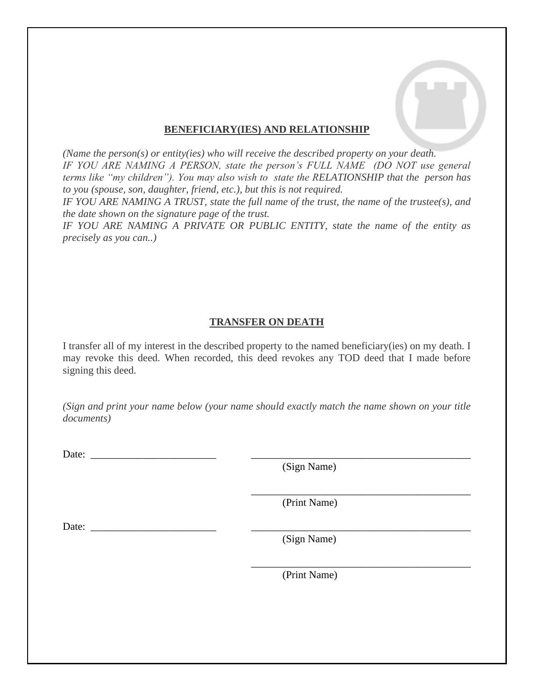### **BENEFICIARY(IES) AND RELATIONSHIP**

*(Name the person(s) or entity(ies) who will receive the described property on your death. IF YOU ARE NAMING A PERSON, state the person's FULL NAME (DO NOT use general terms like "my children"). You may also wish to state the RELATIONSHIP that the person has to you (spouse, son, daughter, friend, etc.), but this is not required.* 

*IF YOU ARE NAMING A TRUST, state the full name of the trust, the name of the trustee(s), and the date shown on the signature page of the trust.*

*IF YOU ARE NAMING A PRIVATE OR PUBLIC ENTITY, state the name of the entity as precisely as you can..)*

# **TRANSFER ON DEATH**

I transfer all of my interest in the described property to the named beneficiary(ies) on my death. I may revoke this deed. When recorded, this deed revokes any TOD deed that I made before signing this deed.

*(Sign and print your name below (your name should exactly match the name shown on your title documents)*

Date:

(Sign Name)

(Print Name)

\_\_\_\_\_\_\_\_\_\_\_\_\_\_\_\_\_\_\_\_\_\_\_\_\_\_\_\_\_\_\_\_\_\_\_\_\_\_\_\_\_\_

\_\_\_\_\_\_\_\_\_\_\_\_\_\_\_\_\_\_\_\_\_\_\_\_\_\_\_\_\_\_\_\_\_\_\_\_\_\_\_\_\_\_

Date: \_\_\_\_\_\_\_\_\_\_\_\_\_\_\_\_\_\_\_\_\_\_\_\_ \_\_\_\_\_\_\_\_\_\_\_\_\_\_\_\_\_\_\_\_\_\_\_\_\_\_\_\_\_\_\_\_\_\_\_\_\_\_\_\_\_\_

(Sign Name)

(Print Name)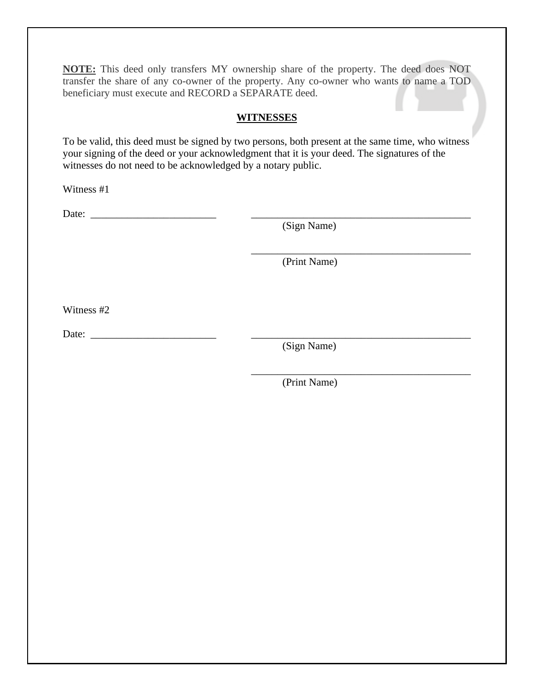**NOTE:** This deed only transfers MY ownership share of the property. The deed does NOT transfer the share of any co-owner of the property. Any co-owner who wants to name a TOD beneficiary must execute and RECORD a SEPARATE deed.

# **WITNESSES**

To be valid, this deed must be signed by two persons, both present at the same time, who witness your signing of the deed or your acknowledgment that it is your deed. The signatures of the witnesses do not need to be acknowledged by a notary public.

Witness #1

Date: \_\_\_\_\_\_\_\_\_\_\_\_\_\_\_\_\_\_\_\_\_\_\_\_ \_\_\_\_\_\_\_\_\_\_\_\_\_\_\_\_\_\_\_\_\_\_\_\_\_\_\_\_\_\_\_\_\_\_\_\_\_\_\_\_\_\_

(Sign Name)

(Print Name)

\_\_\_\_\_\_\_\_\_\_\_\_\_\_\_\_\_\_\_\_\_\_\_\_\_\_\_\_\_\_\_\_\_\_\_\_\_\_\_\_\_\_

Witness #2

Date: \_\_\_\_\_\_\_\_\_\_\_\_\_\_\_\_\_\_\_\_\_\_\_\_ \_\_\_\_\_\_\_\_\_\_\_\_\_\_\_\_\_\_\_\_\_\_\_\_\_\_\_\_\_\_\_\_\_\_\_\_\_\_\_\_\_\_

(Sign Name)

\_\_\_\_\_\_\_\_\_\_\_\_\_\_\_\_\_\_\_\_\_\_\_\_\_\_\_\_\_\_\_\_\_\_\_\_\_\_\_\_\_\_ (Print Name)